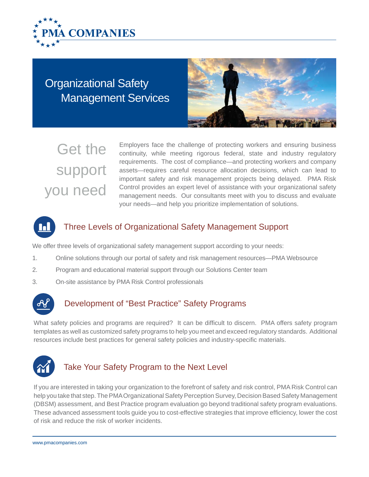

Management Services Organizational Safety



# Get the support you need

Employers face the challenge of protecting workers and ensuring business continuity, while meeting rigorous federal, state and industry regulatory requirements. The cost of compliance—and protecting workers and company assets—requires careful resource allocation decisions, which can lead to important safety and risk management projects being delayed. PMA Risk Control provides an expert level of assistance with your organizational safety management needs. Our consultants meet with you to discuss and evaluate your needs—and help you prioritize implementation of solutions.



### Three Levels of Organizational Safety Management Support

We offer three levels of organizational safety management support according to your needs:

- 1. Online solutions through our portal of safety and risk management resources—PMA Websource
- 2. Program and educational material support through our Solutions Center team
- 3. On-site assistance by PMA Risk Control professionals



#### Development of "Best Practice" Safety Programs

What safety policies and programs are required? It can be difficult to discern. PMA offers safety program templates as well as customized safety programs to help you meet and exceed regulatory standards. Additional resources include best practices for general safety policies and industry-specific materials.



## Take Your Safety Program to the Next Level

If you are interested in taking your organization to the forefront of safety and risk control, PMA Risk Control can help you take that step. The PMA Organizational Safety Perception Survey, Decision Based Safety Management (DBSM) assessment, and Best Practice program evaluation go beyond traditional safety program evaluations. These advanced assessment tools guide you to cost-effective strategies that improve efficiency, lower the cost of risk and reduce the risk of worker incidents.